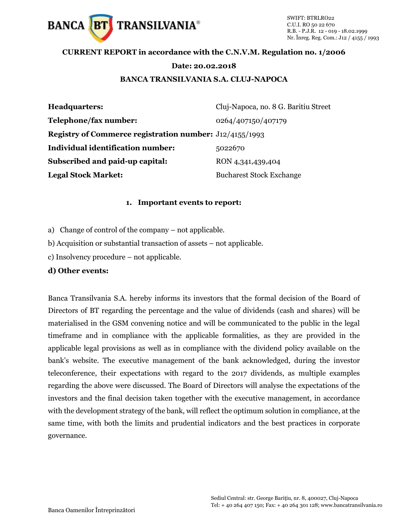

## **CURRENT REPORT in accordance with the C.N.V.M. Regulation no. 1/2006**

#### **Date: 20.02.2018**

#### **BANCA TRANSILVANIA S.A. CLUJ-NAPOCA**

| <b>Headquarters:</b>                                           | Cluj-Napoca, no. 8 G. Baritiu Street |
|----------------------------------------------------------------|--------------------------------------|
| Telephone/fax number:                                          | 0264/407150/407179                   |
| <b>Registry of Commerce registration number:</b> J12/4155/1993 |                                      |
| Individual identification number:                              | 5022670                              |
| Subscribed and paid-up capital:                                | RON 4,341,439,404                    |
| <b>Legal Stock Market:</b>                                     | <b>Bucharest Stock Exchange</b>      |

#### **1. Important events to report:**

- a) Change of control of the company not applicable.
- b) Acquisition or substantial transaction of assets not applicable.
- c) Insolvency procedure not applicable.

### **d) Other events:**

Banca Transilvania S.A. hereby informs its investors that the formal decision of the Board of Directors of BT regarding the percentage and the value of dividends (cash and shares) will be materialised in the GSM convening notice and will be communicated to the public in the legal timeframe and in compliance with the applicable formalities, as they are provided in the applicable legal provisions as well as in compliance with the dividend policy available on the bank's website. The executive management of the bank acknowledged, during the investor teleconference, their expectations with regard to the 2017 dividends, as multiple examples regarding the above were discussed. The Board of Directors will analyse the expectations of the investors and the final decision taken together with the executive management, in accordance with the development strategy of the bank, will reflect the optimum solution in compliance, at the same time, with both the limits and prudential indicators and the best practices in corporate governance.